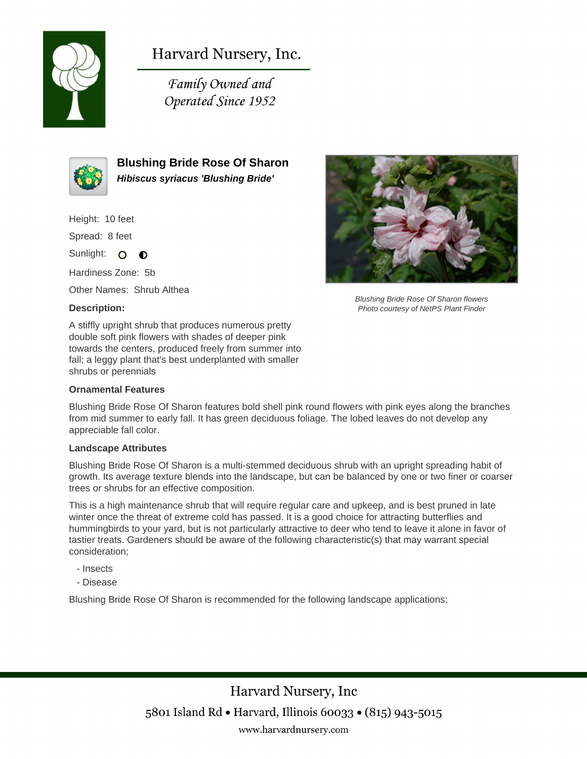

# Harvard Nursery, Inc.

Family Owned and Operated Since 1952



**Blushing Bride Rose Of Sharon Hibiscus syriacus 'Blushing Bride'**

Height: 10 feet

Spread: 8 feet

Sunlight: O  $\bullet$ 

Hardiness Zone: 5b

Other Names: Shrub Althea

### **Description:**

A stiffly upright shrub that produces numerous pretty double soft pink flowers with shades of deeper pink towards the centers, produced freely from summer into fall; a leggy plant that's best underplanted with smaller shrubs or perennials

#### **Ornamental Features**



Blushing Bride Rose Of Sharon flowers Photo courtesy of NetPS Plant Finder

Blushing Bride Rose Of Sharon features bold shell pink round flowers with pink eyes along the branches from mid summer to early fall. It has green deciduous foliage. The lobed leaves do not develop any appreciable fall color.

#### **Landscape Attributes**

Blushing Bride Rose Of Sharon is a multi-stemmed deciduous shrub with an upright spreading habit of growth. Its average texture blends into the landscape, but can be balanced by one or two finer or coarser trees or shrubs for an effective composition.

This is a high maintenance shrub that will require regular care and upkeep, and is best pruned in late winter once the threat of extreme cold has passed. It is a good choice for attracting butterflies and hummingbirds to your yard, but is not particularly attractive to deer who tend to leave it alone in favor of tastier treats. Gardeners should be aware of the following characteristic(s) that may warrant special consideration;

- Insects
- Disease

Blushing Bride Rose Of Sharon is recommended for the following landscape applications;

Harvard Nursery, Inc 5801 Island Rd • Harvard, Illinois 60033 • (815) 943-5015 www.harvardnursery.com